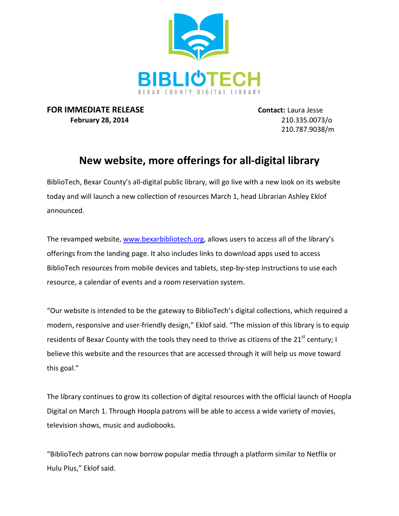

**FOR IMMEDIATE RELEASE Contact:** Laura Jesse **February 28, 2014** 210.335.0073/o

210.787.9038/m

## **New website, more offerings for all-digital library**

BiblioTech, Bexar County's all-digital public library, will go live with a new look on its website today and will launch a new collection of resources March 1, head Librarian Ashley Eklof announced.

The revamped website, [www.bexarbibliotech.org,](http://www.bexarbibliotech.org/) allows users to access all of the library's offerings from the landing page. It also includes links to download apps used to access BiblioTech resources from mobile devices and tablets, step-by-step instructions to use each resource, a calendar of events and a room reservation system.

"Our website is intended to be the gateway to BiblioTech's digital collections, which required a modern, responsive and user-friendly design," Eklof said. "The mission of this library is to equip residents of Bexar County with the tools they need to thrive as citizens of the 21 $^{\text{st}}$  century; I believe this website and the resources that are accessed through it will help us move toward this goal."

The library continues to grow its collection of digital resources with the official launch of Hoopla Digital on March 1. Through Hoopla patrons will be able to access a wide variety of movies, television shows, music and audiobooks.

"BiblioTech patrons can now borrow popular media through a platform similar to Netflix or Hulu Plus," Eklof said.